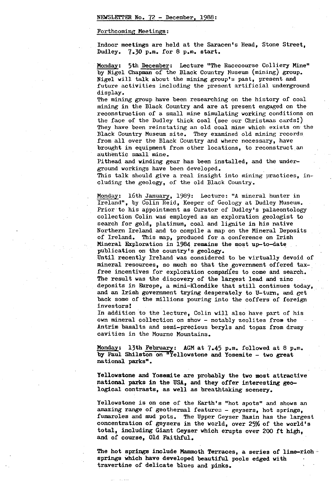#### Forthcoming Meetings :

Indoor meetings are held at the Saracen's Head, Stone Street, Dudley. 7.30 p.m. for 8 p.m. start.

Monday: 5th December: Lecture "The Racecourse Colliery Mine" by Nigel Chapman of the Black Country Museum (mining) group. Nigel will talk about the mining group's past, present and future activities including the present artificial underground display.

The mining group have been researching on the history of coal mining in the Black Country and are at present engaged on the reconstruction of a small mine simulating working conditions on the face of the Dudley thick coal (see our Christmas cards!) They have been reinstating an old coal mine which exists on the Black Country Museum site. They examined old mining records from all over the Black Country and where necessary, have brought in equipment from other locations, to reconstruct an authentic small mine.

Pithead and winding gear has been installed, and the underground workings have been developed.

This talk should give a real insight into mining practices, including the geology, of the old Black Country.

Monday: 16th January, 1989: Lecture: "A mineral hunter in Ireland", by Colin Reid, Keeper of Geology at Dudley Museum. Prior to his appointment as Curator of Dudley's palaeontology collection Colin was employed as an exploration geologist to search for gold, platinum, coal and lignite in his native Northern Ireland and to compile a map on the Mineral Deposits of Ireland. This map, produced for a conference on Irish Mineral Exploration in 1984 remains the most up-to-date publication on the country's geology.

Until recently Ireland was considered to be virtually devoid of mineral resources, so much so that the government offered taxfree incentives for exploration companies to come and search. The result was the discovery of the largest lead and zinc deposits in Europe, a mini-Klondike that still continues today, and an Irish government trying desperately to U-turn, and get back some of the millions pouring into the coffers of foreign investors!

In addition to the lecture, Colin will also have part of his own mineral collection on show - notably zeolites from the Antrim basalts and semi-precious beryls and topaz from drusy cavities in the Mourne Mountains.

Monday: 13th February: AGM at  $7.45$  p.m. followed at 8 p.m. by Paul **Shilston on** "Yellowstone and Yosemite - two great national parks".

**Yellowstone and Yosemite are** probably the **two most attractive national parks in** the USA, and **they offer interesting geo**logical contrasts, as well as breathtaking scenery.

Yellowstone is on one of the Earth's "hot spots" and shows an amazing range of geothermal features - geysers, hot springs, fumaroles and mud pots. The Upper Geyser Basin has the largest concentration of geysers in the world, over 25% of the **world's total, including Giant Geyser** which erupts over 200 ft high, and of **course,** Old Faithful.

The hot **springs include Mammoth Terraces, a series of lime**-rich - springs which have developed beautiful pools edged with travertine of **delicate** blues and **pinks.**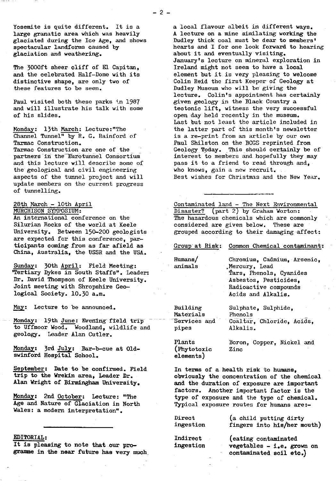Yosemite is quite different. It is a large granatic area which was heavily glaciated during the Ice Age, and shows spectacular landforms caused by glaciation and weathering.

The 3000ft sheer cliff of El Capitan. and the celebrated Half-Dome with its distinctive shape, are only two of these features to be seen.

Paul visited both these parks in 1987 and will illustrate his talk with some of his slides.

Monday: 13th March: Lecture:"The Channel Tunnel" by R. G. Rainford of Tarmac Construction. Tarmac Construction are one of the partners in the Eurotunnel Consortium and this lecture will describe some of the geological and civil engineering aspects of the tunnel project and will update members on the current progress of tunnelling.

#### 28th March - 10th April MURCHISON SYMPOSIUM :

An international conference on the Silurian Rocks of the world at Keele University. Between 150-200 geologists are expected for this conference, participants coming from as far afield as China, Australia, the USSR and the USA.

Sunday: 30th April: Field Meeting: 'Tertiary Dykes in South Staffs". Leader: Dr. David Thompson of Keele University. Joint meeting with Shropshire Geological Society. 10.30 a.m.

May: Lecture to be announced.

Monday: 19th June: Evening field trip to Uffmoor Wood. Woodland, wildlife and geology. Leader Alan Cutler.

Monday: 3rd July: Bar-b-cue at Oldswinford Hospital School.

September: Date to be confirmed. Field trip to the Wrekin area, Leader Dr. Alan Wright of Birmingham University.

Monday: 2nd October: Lecture: "The Age and Nature of Glaciation in North Wales: a modern interpretation".

### EDITORIAL:

It is pleasing to note that our programme in the near future has very much a local flavour albeit in different ways. A lecture on a mine similating working the Dudley thick coal must be dear to members' hearts and I for one look forward to hearing about it and eventually visiting. January's lecture on mineral exploration in Ireland might not seem to have a local element but it is very pleasing to welcome Colin Reid the first Keeper of Geology at Dudley Museum who will be giving the lecture. Colin's appointment has certainly given geology in the Black Country a tectonic lift, witness the very successful open day held recently in the museum. Last but not least the article included in the latter part of this month's newsletter is a re-print from an article by our own Paul Shilston on the BCGS reprinted from Geology Today. This should certainly be of interest to members and hopefully they may pass it to a friend to read through and, who knows, gain a new recruit. Best wishes for Christmas and the New Year.

Contaminated land - The Next Environmental Disaster? (part 2) by Graham Worton: The hazardous chemicals which are commonly considered are given below. These are grouped according to their damaging affect:

#### Group at Risk: Common Chemical contaminant:

Mercury, Lead

Humans/ Chromium, Cadmium, Arsenic,<br>animals Mercury, Lead

Building Sulphate, Sulphide, Materials Phenols<br>Services and Coaltar. pipes Alkalis.

Coaltar, Chloride, Acids,

`Tars, Phenols, Cyanides Asbestos, Pesticides, Radioactive compounds Acids and Alkalis.

(Phytotoxic Zinc elements)

Plants Boron, Copper, Nickel and

In terms of a health risk to humans, obviously the concentration of the chemical and the duration of exposure are important factors. Another important factor is the type of exposure and the type of chemical. Typical exposure routes for humans are:-

| Direct    | (a child putting dirty      |  |  |  |
|-----------|-----------------------------|--|--|--|
| ingestion | fingers into his/her mouth) |  |  |  |
|           |                             |  |  |  |

Indirect (eating contaminated<br>ingestion vegetables - i.e. gro vegetables - i.e. grown on . contaminated soil etc.)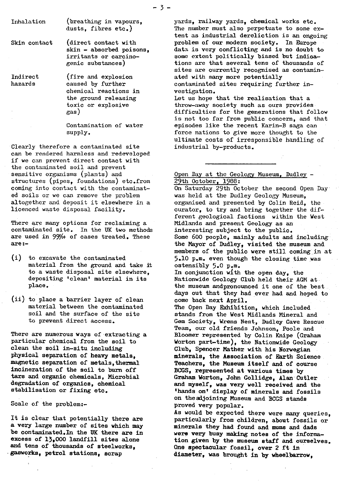Skin contact (direct contact with skin - absorbed poisons, irritants or carcinogenic substances)

Indirect (fire and explosion<br>hazards caused by further caused by further chemical reactions in the ground releasing toxic or explosive gas)

> Contamination of water supply.

Clearly therefore a contaminated site can be rendered harmless and redeveloped if we can prevent direct contact with the contaminated soil and prevent sensitive organisms (plants) and structures (pipes, foundations) etc.from coming into contact with the contaminated soils or we can remove the problem altogether and deposit it elsewhere in a licenced waste disposal facility.

There are many options for reclaiming a contaminated site. In the UK two methods are used in 99% of cases treated. These are:-

(i) to excavate the contaminated material from the **ground and take it to a waste disposal site elsewhere, depositing 'clean' material in its** place.

(ii) to place a barrier layer of clean material between the contaminated soil and the surface of the site *to prevent direct access..*

There are numerous ways of extracting a particular chemical from the soil to clean the **soil in-situ including physical separation of heavy metals,** magnetic separation of metals,thermal, incineration of the soil to burn off tars and organic chemicals, Microbial degradation of organics, chemical stabilisation or fixing etc.

Scale of the problem:-

It is clear that potentially there are **a very** large number of sites which may **be contaminated ,In** the UK there are **in excess of 13,000 landfill sites alone and tens of thousands of steelworks, gasworks,** petrol stations, scrap

yards, railway yards, chemical works etc. The number must also perpetuate to some extent as industrial dereliction is an ongoing problem of our modern society. In Europe data is very conflicting and is no doubt to some extent politically biased but indications are that several tens of thousands of sites are currently recognised as contaminated with many more potentially contaminated sites requiring further investigation. Let us hope that the realisation that a

throw*-away* society such as ours provides difficulties for the generations that follow is not too far from public concern, and that episodes like the recent Karin-B saga can force nations to give more thought to the ultimate costs of irresponsible handling of industrial by-products.

## Open Day at the Geology Museum. Dudley -29th October, 1988:

On Saturday 29th October the second Open Day was held at the Dudley Geology Museum, organised and presented by Colin Reid, the curator, to try and bring together the different geological factions within the West Midlands and present Geology as an interesting subject to the public. Some 600 people, mainly adults and including the Mayor of Dudley, visited the museum and members of the public were still coming in at 5.10 p.m. even though the closing time was ostensibly 5.0 p.m. In conjunction with the open day, the Nationwide Geology Club held their AGM at the museum andpronounced it one of the best days out that they had ever had and hoped to come back next April. The Open Day Exhibition, which included stands from the West Midlands Mineral and Gem Society, Wrens Nest, Dudley Cave Rescue Team, our old friends Johnson, Poole and Bloomer represented by Colin Knipe (Graham Worton part-time), the Nationwide Geology Club, Spencer Mather with **his Norwegian minerals, the Association of** Earth Science Teachers, the Museum itself **and.of course BOGS, represented at various times by Graham Worton, John Gollidge,** Alan Cutler **and myself, was very well received and the 'hands on' display of** minerals and fossils on the adjoining Museum and BCGS stands proved very popular. As would be expected there were many queries, particularly from children, about fossils or minerals they had found and mums and dads **were very busy making notes of** the informa**tion given by the museum staff and ourselves. One spectacular fossil, over 2 ft in diameter, was brought in by wheelbarrow,**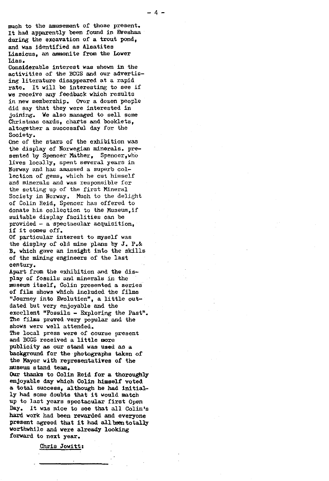much to the amusement of those present. It had apparently been found in Evesham during the excavation of a trout pond, and was identified as Alsatites Liasious, an ammonite from the Lower Lias.

Considerable interest was shown **in** the activities of the BCGS and our advertising literature disappeared at a rapid rate. It will be interesting to see if we receive any feedback which results in new membership. Over a dozen people did say that they were interested in joining. We also managed to sell some Christmas cards, charts and booklets, altogether a successful day for the Society.

one of the stars of the exhibition was the display of Norwegian minerals. presented by Spencer Mather, Spencer, who lives locally, spent several years in 1orway and has amassed a superb collection of gems, which he cut himself and minerals and was responsible for the setting up of the first Mineral Society in Norway. Much to the delight of Colin Reid, Spencer has offered to donate his collection to the Nuseum,if suitable display facilities can be provided - a spectacular acquisition, if it comes off.

Of particular interest to myself was the display of old mine plans by J. P.& B. which gave an insight into the skills of the mining engineers of the last century.

Apart from the exhibition and the display of fossils and minerals in the museum itself, Colin presented a series of film shows which included the films "Journey into Evolution", a little outdated but very enjoyable and the excellent "Fossils - Exploring the Past". The films proved very popular and the shows were well attended.

The local press were of course present and BCGS received a little more publicity as our stand was used as a background for the photographs taken of the Mayor with representatives of the museum stand team.

Our thanks to Colin Reid for a thoroughly enjoyable day which Colin himself voted a total success, although he had initially had some doubts that it would match up to last years spectacular first Open Day. It was nice to see that all Colin's hard work had been rewarded and everyone present agreed that it had all been totally worthwhile and were already looking forward to next year.

Chris Jowitt: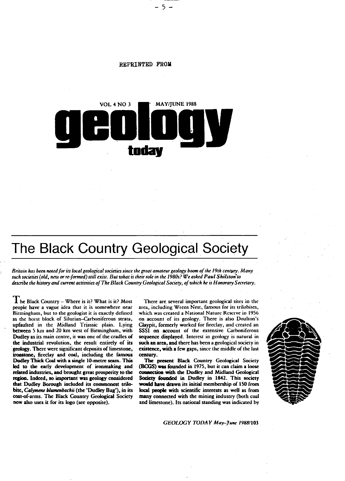

**REPRINTED FROM**

 $-5-$ 

# **The Black Country Geological Society**

*Britain has been noted for its local geological societies since the great amateur geology boom of the 19th centyry. Marty such societies (old, new or reformed) still exist. But what is their role in the 1980s? We asked Paul Shilstvn'to* describe *the history and current activities of The Black Country Geological Society, of which he is Honorary Secretary.*

 $\prod$  he Black Country – Where is it? What is it? Most people have a vague idea that it is somewhere near Birmingham, but to the geologist it is exactly defined as the horst block of Silurian—Carboniferous strata, upfaulted in the Midland Triassic plain. Lying between 5 km and 20 km west of Birmingham, with Dudley as its main centre, it was one of the cradles of the industrial revolution, the result entirely of **its** geology. There were significant deposits of limestone, ironstone, fireclay and coal, including the famous **Dudley** Thick Coal with a single 10-metre scam\_ This led to the early development of ironmaking and related industries, and brought great prosperity to the region. Indeed, so **important was geology considered that Dudley Borough included its commonest trilobite,** *Calymene blwnenbachii* (the 'Dudley Bug'), in its coat-of-arms. The Black Country Geological Society now also uses it for its logo (see opposite).

There are several important geological sites in the area, including Wrens Nest, famous for its trilobites, which was created a National Nature Reserve in 1956 on account of its geology. There is also Doulton's Claypit, formerly worked for fireclay, and created an SSSI on account of the extensive Carboniferous sequence displayed. Interest in geology is natural in such an area, and there has been a geological society in existence, with a few gaps, since the middle of the last century.

**The present** Black Country Geological Society **(BOGS) was** founded in 1975, but it can claim a loose connection with the Dudley and Midland Geological **Society founded in Dudley in** 1842. This society **would have drawn its initial membership of 150 from local people with scientific interests** as well as from many connected with the mining industry (both coal and limestone). Its national standing was indicated by



*GEOLOGY TODAY May—June* **/988/103**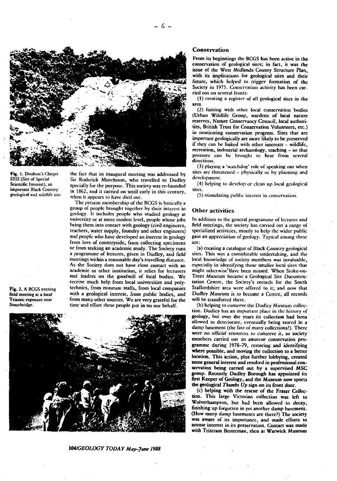

**Fig. 1. Doulton's Claypit SSSI (Site of** Special **Scientific Interest), an** important Black Country **geological and** wildlife site the fact that its inaugural meeting was addressed by Sir Roderick Murchison, who travelled to Dudley specially for the purpose. This society was re-founded in 1862, and it carried on until early in this century, when it appears to have died out.

The present membership of the BCGS is basically a group of people brought together by their interest in geology. It includes people who studied geology at university or at more modest level, people whose jobs bring them into contact with geology (civil engineers, teachers, water supply, foundry and other engineers) and people who have developed an interest in geology from love of countryside, from collecting specimens or from seeking an academic study. The Society runs a programme of lectures, given in Dudley, and field meetings within a reasonable day's travelling distance. As the Society does not have close contact with **an** academic or other institution, it relies for lecturers and leaders on the goodwill of local bodies. We receive much help from local universities and polytechnics, from museum staffs, from local companies with a geological interest, from public bodies, and from many other sources. We are very grateful for the time and effort these people put in on our behalf.

Fig. 2. A BCGS evening field meeting at a local **Triassic exposure near** Stourbridge.



# *104/GEOLOGY TODAY May-Jams 1988*

#### **Conservation**

From its beginnings the BCGS has been active in the conservation of geological sites; in fact, it was the issue of the West Midlands County Structure Plan, with its implications for geological sites and their future, *which* helped to trigger formation of the Society in 1975. Conservation activity has been carried out on several fronts:

(1) creating a register of all geological sites in the area.

(2) liaising with other local conservation bodies (Urban Wildlife Group, wardens of local nature reserves, Nature Conservancy Council, local authorities, British Trust for Conservation *Volunteers,* etc.) in monitoring conservation progress. Sites that are important geologically are **more likely to be** *preserved* if they can be linked with other interests - wildlife, recreation, industrial archaeology, teaching - so that pressure can he brought to bear from several directions.

(3) playing a 'watchdog' role of speaking out when sites are threatened - physically or by planning and development\_

(4) helping to develop or clean up local geological **Sites.**

(5) stimulating public interest in conscrvation\_

#### **Other activities**

In addition to the general programme of lectures and field meetings, the society has carried out a range of specialized activities, mostly to help the wider public gain an appreciation of geology. Typical among these are:

(a) creating a catalogue of Black Country geological sites. This was a considerable undertaking, and the local knowledge of society members was invaluable, especially in identifying those smaller local sites that **might** otherwise'Have been missed. When Stoke-on-Trenr Museum became a Geological Site Documentation Centre, the Society's records for the South Staffordshire area were offered to it; and now that Dudley Museum is to become a Centre, all records will be transferred there.

(b) helping to conserve the Dudley Museum collection. Dudley has an important place in the history of geology, but over the years its collection had been. allowed to deteriorate, eventually being stored in a damp basement (the fate of many collections!). There were no official resources to conserve it, so society members carried out an amateur conservation programme during 1978-79, restoring and **identifying where possible, and moving the collection to a better location. This action, plus further lobbying, created some general** interest and resulted in professional conservation being carried out by a supervised MSC group. Recently Dudley Borough has appointed its **first Keeper of** Geology, and the Museum now sports the geological *Thumbs* Up sign on its front door.

(c) helping with the rescue of the Fraser **Collcc**tion. This large Victorian collection was left to Wolverhampton, but had been allowed to decay, finishing up forgotten in yet another damp basement. (How many damp basements are there?) The society was aware of its importance, and made efforts to arouse interest in its preservation. Contact was made with Tristram 8cstcrman, then at Warwick Museum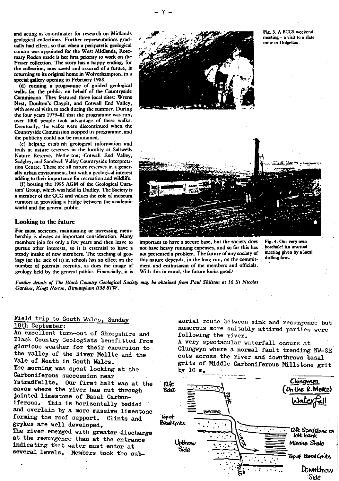and acting as co-ordinator for research on Midlands geological collections. Further representations gradually had effect, so that when a peripatetic geological curator was appointed for the West Midlands, Rosemary Roden made it her first priority to work on the Fraser collection. **The** sto**ry** has a happy ending, for the collection, now saved and assured of a future, is returning to its original home in Wolverhampton, in a special galle**ry** opening in Februa**ry** 1988.

(d) running a programme of guided geological walks for the public, on behalf of the Countryside Commission. They featured three local sites: W **re**ns Nest, Doulton's Claypit, and Cotwall End Valley, with several visits to each during the summer. During the four years 1979-82 that the programme was run, over 1000 people took advantage of these walks. Eventually, the walks were discontinued when the Count**ry**side Commission stopped its programme, and the publicity could not be maintained.

(e) helping establish geological information and trails at nature reserves in the locality at Saltwells Nature Reserve, Netherton; Cotwall End Valley, Sedgley; and Sandwell Valley Countryside Interpretation Centre. These are all nature reserves in a generally urban environment, but with a geological interest adding to their importance for recreation and wildlife.

(f) hosting the 1985 AGM of the Geological Curators' Group, which was held in Dudley. The Society is a member of the GCG and values the role of museum curators in providing a bridge between the academic world and the general public.

#### Looking to the future

For most societies, maintaining or increasing membership is always an important consideration. Many members join for only a few years and then leave to pursue other interests, so it is essential to have a steady intake of new members. The teaching of geology (or the lack of it) in schools has an effect on the number of potential recruits, as does the image of geology held by the general public. Financially, it is

important to have a secure base, but the society does Fig. **4. Our** very own not have heavy running expenses, and so far this has ... borehole! An unusual<br>not precented a problem. The future of any society of ... meeting given by a local not presented a problem. The future of any society of meeting given<br>this nature demands, in the long run, on the commit drilling firm. this nature depends, in the long run, on the commitmeat and enthusiasm of the members and officials. With this in mind, the future looks good.

*Further details of The Black Country Geological Society may be obtained from Paul Shilston at 16 St Nicolas. Gardens,* Kings *Norton, Birmingham B38 87W.*

# Field trip to South Wales, Sunday 18th September:

An excellent turn-out of Shropshire an<sup>d</sup> Black Country Geologists benefitted from glorious weather for their excursion to. the valley of the River Mellte and the Vale of Neath in South Wales, The morning was spent looking at the Carboniferous succession near Ystradfellte. Our first halt was at the caves where the river has cut through Jointed limestone of Basal Carboniferous. This is horizontally bedded and overlain by a more massive limestone forming the roof support. Clints and grykes are well developed. The river emerged with greater discharge at the resurgence than at the entrance

indicating that water must enter at several levels. Members took the subaerial route between sink and resurgence but numerous more suitably attired parties were following the river.

A very spectacular waterfall occurs at Clunewyn where a normal fault trending NW-SE cuts across the river and downthrows basal grits of Middle Carboniferous Millstone grit by 10 m.



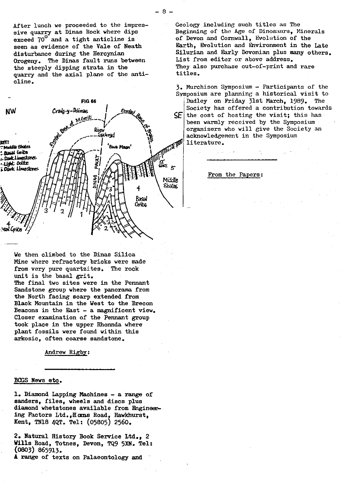After lunch we proceeded to the impressive quarry at Dinas Rock where dips exceed 70<sup>°</sup> and a tight anticline is seen as evidence of the Vale of Neath disturbance during the Hercynian Orogeny. The Dinas fault runs between the steeply dipping strata in the quarry and the axial plane of the antialine.



We then climbed to the Dinas Silica Mine where refractory bricks were made from very pure quartzites. The rock unit is the basal grit.

The final two sites were in the Pennant Sandstone group where the panorama from the North facing scarp extended from Black Mountain in the West to the Brecon Beacons in the East - a magnificent view. Closer examination of the Pennant group took place in the upper Rhonnda where plant fossils were found within this arkosic, often coarse sandstone.

Andrew Rigby:

#### BCGS News etc.

1. Diamond Lapping Machines - a range of sanders, files, wheels and discs plus diamond whetstones available from Engineering Factors Ltd.,H an3s Road, Hawkhurst, Kent, TN18 4QT. Tel: (05805) 2560.

2. Natural History Book Service Ltd., 2 Wills Road, Totnes, Devon, TQ9 5XN. Tel: ( o8o3) 865913.

A range of texts on Palaeontology and

Geology including such titles as The Beginning of the Age of Dinosaurs, Minerals of Devon and Cornwall, Evolution of the Earth, Evolution and Environment in the Late Silurian and Early Devonian plus many others. List from editor or above address. They also purchase out-of-print and rare titles.

3. Murchison Symposium - Participants of the Sv nposium are planning a historical visit to

 $SE$  the cost of hosting the visit; this has Dudley on Friday 31st March, 1989. The Society has offered a contribution towards been warmly received by the Symposium organisers who will give the Society an acknowledgement in the Symposium literature.

From the Papers :